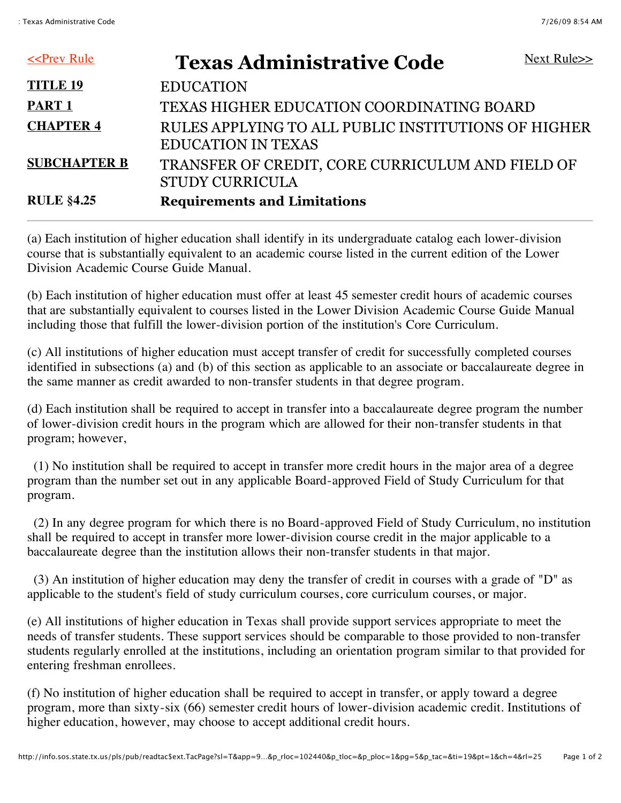| $\leq$ Prev Rule    | <b>Texas Administrative Code</b>                                                 | Next Rule>> |
|---------------------|----------------------------------------------------------------------------------|-------------|
| <b>TITLE 19</b>     | <b>EDUCATION</b>                                                                 |             |
| <b>PART 1</b>       | TEXAS HIGHER EDUCATION COORDINATING BOARD                                        |             |
| <b>CHAPTER 4</b>    | RULES APPLYING TO ALL PUBLIC INSTITUTIONS OF HIGHER<br><b>EDUCATION IN TEXAS</b> |             |
| <b>SUBCHAPTER B</b> | TRANSFER OF CREDIT, CORE CURRICULUM AND FIELD OF<br><b>STUDY CURRICULA</b>       |             |
| <b>RULE §4.25</b>   | <b>Requirements and Limitations</b>                                              |             |

(a) Each institution of higher education shall identify in its undergraduate catalog each lower-division course that is substantially equivalent to an academic course listed in the current edition of the Lower Division Academic Course Guide Manual.

(b) Each institution of higher education must offer at least 45 semester credit hours of academic courses that are substantially equivalent to courses listed in the Lower Division Academic Course Guide Manual including those that fulfill the lower-division portion of the institution's Core Curriculum.

(c) All institutions of higher education must accept transfer of credit for successfully completed courses identified in subsections (a) and (b) of this section as applicable to an associate or baccalaureate degree in the same manner as credit awarded to non-transfer students in that degree program.

(d) Each institution shall be required to accept in transfer into a baccalaureate degree program the number of lower-division credit hours in the program which are allowed for their non-transfer students in that program; however,

 (1) No institution shall be required to accept in transfer more credit hours in the major area of a degree program than the number set out in any applicable Board-approved Field of Study Curriculum for that program.

 (2) In any degree program for which there is no Board-approved Field of Study Curriculum, no institution shall be required to accept in transfer more lower-division course credit in the major applicable to a baccalaureate degree than the institution allows their non-transfer students in that major.

 (3) An institution of higher education may deny the transfer of credit in courses with a grade of "D" as applicable to the student's field of study curriculum courses, core curriculum courses, or major.

(e) All institutions of higher education in Texas shall provide support services appropriate to meet the needs of transfer students. These support services should be comparable to those provided to non-transfer students regularly enrolled at the institutions, including an orientation program similar to that provided for entering freshman enrollees.

(f) No institution of higher education shall be required to accept in transfer, or apply toward a degree program, more than sixty-six (66) semester credit hours of lower-division academic credit. Institutions of higher education, however, may choose to accept additional credit hours.